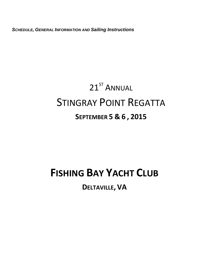*SCHEDULE, GENERAL INFORMATION AND Sailing Instructions* 

# 21<sup>ST</sup> ANNUAL STINGRAY POINT REGATTA **SEPTEMBER 5 & 6 , 2015**

# **FISHING BAY YACHT CLUB**

**DELTAVILLE, VA**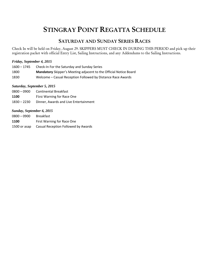# STINGRAY POINT REGATTA SCHEDULE

## SATURDAY AND SUNDAY SERIES RACES

Check In will be held on Friday, August 29. SKIPPERS MUST CHECK IN DURING THIS PERIOD and pick up their registration packet with official Entry List, Sailing Instructions, and any Addendums to the Sailing Instructions.

#### *Friday, September 4, 2015*

| $1600 - 1745$ | Check-In For the Saturday and Sunday Series                              |
|---------------|--------------------------------------------------------------------------|
| 1800          | <b>Mandatory</b> Skipper's Meeting adjacent to the Official Notice Board |
| 1830          | Welcome – Casual Reception Followed by Distance Race Awards              |

#### *Saturday, September 5, 2015*

| $0800 - 0900$ | <b>Continental Breakfast</b>          |
|---------------|---------------------------------------|
| 1100          | First Warning for Race One            |
| 1830 – 2230   | Dinner, Awards and Live Entertainment |

#### *Sunday, September 6, 2015*

| $0800 - 0900$ | <b>Breakfast</b>                           |
|---------------|--------------------------------------------|
| 1100          | First Warning for Race One                 |
| 1500 or asap  | <b>Casual Reception Followed by Awards</b> |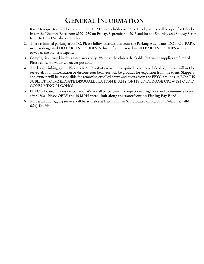# GENERAL INFORMATION

- 1. Race Headquarters will be located in the FBYC main clubhouse. Race Headquarters will be open for Check-In for the Distance Race from 0900-1030 on Friday, September 4, 2015 and for the Saturday and Sunday Series from 1600 to 1745 also on Friday.
- 2. There is limited parking at FBYC. Please follow instructions from the Parking Attendants. DO NOT PARK in areas designated NO PARKING ZONES. Vehicles found parked in NO PARKING ZONES will be towed at the owner's expense.
- 3. Camping is allowed in designated areas only. Water at the club is drinkable, but water supplies are limited. Please conserve water whenever possible.
- 4. The legal drinking age in Virginia is 21. Proof of age will be required to be served alcohol; minors will not be served alcohol. Intoxication or discourteous behavior will be grounds for expulsion from the event. Skippers and owners will be responsible for removing expelled crews and guests from the FBYC grounds. A BOAT IS SUBJECT TO IMMEDIATE DISQUALIFICATION IF ANY OF ITS UNDER-AGE CREW IS FOUND CONSUMING ALCOHOL.
- 5. FBYC is located in a residential area. We ask all participants to respect our neighbors and to minimize noise after 2300. Please OBEY the 15 MPH speed limit along the waterfront on Fishing Bay Road.
- 6. Sail repair and rigging service will be available at Latell Ullman Sails, located on Rt. 33 in Deltaville, cell# (804) 436-6644.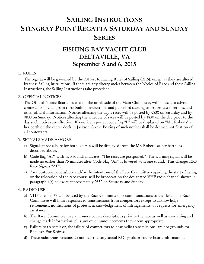# SAILING INSTRUCTIONS STINGRAY POINT REGATTA SATURDAY AND SUNDAY **SERIES**

## FISHING BAY YACHT CLUB DELTAVILLE, VA September 5 and 6, 2015

#### 1. RULES

The regatta will be governed by the 2013-2016 Racing Rules of Sailing (RRS), except as they are altered by these Sailing Instructions. If there are any discrepancies between the Notice of Race and these Sailing Instructions, the Sailing Instructions take precedent.

#### 2. OFFICIAL NOTICES

The Official Notice Board, located on the north side of the Main Clubhouse, will be used to advise contestants of changes in these Sailing Instructions and published starting times, protest meetings, and other official information. Notices affecting the day's races will be posted by 0830 on Saturday and by 0800 on Sunday. Notices affecting the schedule of races will be posted by 1830 on the day prior to the day such notices are effective. If a notice is posted, code flag "L" will be displayed on "Mr. Roberts" at her berth on the center dock in Jackson Creek. Posting of such notices shall be deemed notification of all contestants.

#### 3. SIGNALS MADE ASHORE

- a) Signals made ashore for both courses will be displayed from the Mr. Roberts at her berth, as described above.
- b) Code flag "AP" with two sounds indicates: "The races are postponed." The warning signal will be made no earlier than 75 minutes after Code Flag "AP" is lowered with one sound. This changes RRS Race Signals "AP".
- c) Any postponement ashore and/or the intentions of the Race Committee regarding the start of racing or the relocation of the race course will be broadcast on the designated VHF radio channel shown in paragraph 4(a) below at approximately 0830 on Saturday and Sunday.

#### 4. RADIO USE

- a) VHF channel 69 will be used by the Race Committee for communications to the fleet. The Race Committee will limit responses to transmissions from competitors except to acknowledge retirements, notifications of protests, acknowledgement of infringements, or requests for emergency assistance.
- b) The Race Committee may announce course descriptions prior to the race as well as shortening and change mark information, plus any other announcements they deem appropriate.
- c) Failure to transmit or, the failure of competitors to hear radio transmissions, are not grounds for Requests For Redress.
- d) These radio transmissions do not override any actual RC signals or course board information.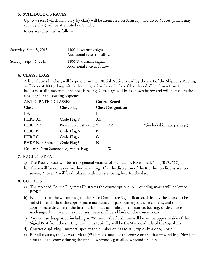#### 5. SCHEDULE OF RACES

Up to 4 races (which may vary by class) will be attempted on Saturday, and up to 3 races (which may vary by class) will be attempted on Sunday.

Races are scheduled as follows:

| Saturday, Sept. 5, 2015 | 1100 $1^{\text{st}}$ warning signal<br>Additional races to follow |
|-------------------------|-------------------------------------------------------------------|
| Sunday, Sept, 6, 2015   | 1100 $1^{\text{st}}$ warning signal<br>Additional race to follow  |

#### 6. CLASS FLAGS

A list of boats by class, will be posted on the Official Notice Board by the start of the Skipper's Meeting on Friday at 1800, along with a flag designation for each class. Class flags shall be flown from the backstay at all times while the boat is racing. Class flags will be as shown below and will be used as the class flag for the starting sequence.

| <b>ANTICIPATED CLASSES</b>           |                      | Course Board             |                             |
|--------------------------------------|----------------------|--------------------------|-----------------------------|
| Class                                | Class Flag           | <b>Class Designation</b> |                             |
| $I-70$                               |                      |                          |                             |
| PHRF A1                              | Code Flag 9          | A1                       |                             |
| PHRF A2                              | Neon Green streamer* | A2                       | *(included in race package) |
| PHRF B                               | Code Flag 6          | B                        |                             |
| PHRF C                               | Code Flag 7          | С                        |                             |
| PHRF Non-Spin.                       | Code Flag 5          | N                        |                             |
| Cruising (Non Sanctioned) White Flag |                      | W                        |                             |

### 7. RACING AREA

- a) The Race Course will be in the general vicinity of Piankatank River mark "3" (FBYC "C")
- b) There will be no heavy weather relocating. If at the discretion of the RC the conditions are too severe, N over A will be displayed with no races being held for the day.

#### 8. COURSES

- a) The attached Course Diagrams illustrates the course options. All rounding marks will be left to PORT.
- b) No later than the warning signal, the Race Committee Signal Boat shall display the course to be sailed for each class, the approximate magnetic compass bearing to the first mark, and the approximate distance to the first mark in nautical miles. If the course, bearing, or distance is unchanged for a later class or classes, there shall be a blank on the course board.
- c) Any course designation including an "S" means the finish line will be on the opposite side of the Signal Boat from the starting line. This typically will be the Starboard side of the Signal Boat.
- d) Courses displaying a numeral specify the number of legs to sail, typically 4 or 6, 3 or 5.
- e) For all courses, the Leeward Mark (#3) is not a mark of the course on the first upwind leg. Nor is it a mark of the course during the final downwind leg of all downwind finishes.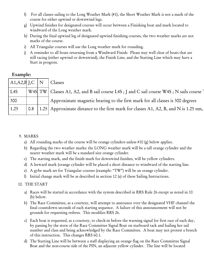- f) For all classes sailing to the Long Weather Mark (#1), the Short Weather Mark is not a mark of the course for either upwind or downwind legs.
- g) Upwind finishes for designated courses will occur between a Finishing boat and mark located to windward of the Long weather mark.
- h) During the final upwind leg of designated upwind finishing courses, the two weather marks are not marks of the course.
- i) All Triangular courses will use the Long weather mark for rounding.
- j) A reminder to all boats returning from a Windward Finish: Please stay well clear of boats that are still racing (either upwind or downwind), the Finish Line, and the Starting Line which may have a Start in progress.

### Example:

| $A1, A2, B$ J,C $ N $ |     | Classes                                                                                 |
|-----------------------|-----|-----------------------------------------------------------------------------------------|
| L4S                   |     | W4S TW Classes A1, A2, and B sail course L4S ; J and C sail course W4S ; N sails course |
| 300                   |     | Approximate magnetic bearing to the first mark for all classes is 300 degrees           |
| 1.25                  | 0.8 | 1.25 Approximate distance to the first mark for classes A1, A2, B, and N is 1.25 nm,    |

#### 9. MARKS

- a) All rounding marks of the course will be orange cylinders unless #10 (g) below applies.
- b) Regarding the two weather marks: the LONG weather mark will be a tall orange cylinder and the nearer weather mark will be a standard size orange cylinder.
- c) The starting mark, and the finish mark for downwind finishes, will be yellow cylinders.
- d) A leeward mark (orange cylinder will be placed a short distance to windward of the starting line.
- e) A gybe mark set for Triangular courses (example: "TW") will be an orange cylinder.
- f) Initial change mark will be as described in section 12 (a) of these Sailing Instructions.

#### 10. THE START

- a) Races will be started in accordance with the system described in RRS Rule 26 except as noted in 10 (b) below.
- b) The Race Committee, as a courtesy, will attempt to announce over the designated VHF channel the final countdown seconds of each starting sequence. A failure of this announcement will not be grounds for requesting redress. This modifies RRS 26.
- c) Each boat is requested, as a courtesy, to check-in before the warning signal for first race of each day, by passing by the stern of the Race Committee Signal Boat on starboard tack and hailing her sail number and class and being acknowledged by the Race Committee. A boat may not protest a breech of this instruction. This changes RRS 60.1.
- d) The Starting Line will be between a staff displaying an orange flag on the Race Committee Signal Boat and the non-course side of the PIN, an adjacent yellow cylinder. The line will be located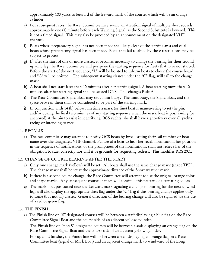approximately 100 yards to leeward of the leeward mark of the course, which will be an orange cylinder.

- e) For subsequent races, the Race Committee may sound an attention signal of multiple short sounds approximately one (1) minute before each Warning Signal, as the Second Substitute is lowered. This is not a timed signal. This may also be preceded by an announcement on the designated VHF channel.
- f) Boats whose preparatory signal has not been made shall keep clear of the starting area and of all boats whose preparatory signal has been made. Boats that fail to abide by these restrictions may be subject to protest.
- g) If, after the start of one or more classes, it becomes necessary to change the bearing for their second upwind leg, the Race Committee will postpone the starting sequence for fleets that have not started. Before the start of the next sequence, "L" will be hoisted to inform boats to check the course board, and "C" will be hoisted. The subsequent starting classes under the "C" flag, will sail to the change mark.
- h) A boat shall not start later than 10 minutes after her starting signal. A boat starting more than 10 minutes after her starting signal shall be scored DNS. This changes Rule A4.
- i) The Race Committee Signal Boat may set a limit buoy. The limit buoy, the Signal Boat, and the space between them shall be considered to be part of the starting mark.
- j) In conjunction with 14 (b) below, anytime a mark (or line) boat is maneuvering to set the pin, and/or during the final two minutes of any starting sequence when the mark boat is positioning (or anchored) at the pin to assist in identifying OCS yachts, she shall have right-of-way over all yachts racing or intending to race.

#### 11. RECALLS

a) The race committee may attempt to notify OCS boats by broadcasting their sail number or boat name over the designated VHF channel. Failure of a boat to hear her recall notification, her position in the sequence of notifications, or the promptness of the notifications, shall not relieve her of the obligation to start correctly nor will it be grounds for requesting redress. This modifies RRS 29.1.

#### 12. CHANGE OF COURSE BEARING AFTER THE START

- a) Only one change mark (yellow) will be set. All boats shall use the same change mark (shape TBD). The change mark shall be set at the approximate distance of the Short weather mark.
- b) If there is a second course change, the Race Committee will attempt to use the original orange color and shape marks. Any subsequent course changes will continue this pattern of alternating colors.
- c) The mark boat positioned near the Leeward mark signaling a change in bearing for the next upwind leg, will also display the appropriate class flag under the "C" flag if this bearing change applies only to some (but not all) classes. General direction of the bearing change will also be signaled via the use of a red or green flag.

### 13. THE FINISH

a) The Finish line on "S" designated courses will be between a staff displaying a blue flag on the Race Committee Signal Boat and the course side of an adjacent yellow cylinder. The Finish line on "non-S" designated courses will be between a staff displaying an orange flag on the

Race Committee Signal Boat and the course side of an adjacent yellow cylinder.

 For upwind finishes, the Finish line will be between a staff displaying an orange flag on a Race Committee boat (Signal or Mark Boat) and an adjacent orange mark to windward of the Long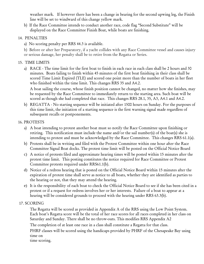weather mark. If however there has been a change in bearing for the second upwing leg, the Finish line will be set to windward of this change yellow mark.

b) If the Race Committee intends to conduct another race, code flag "Second Substitute" will be displayed on the Race Committee Finish Boat, while boats are finishing.

#### 14. PENALTIES

- a) No scoring penalty per RRS 44.3 is available.
- b) Before or after her Preparatory, if a yacht collides with any Race Committee vessel and causes injury or serious damage, her penalty shall be to retire from the Regatta or Series.

#### 15. TIME LIMITS

a) RACE - The time limit for the first boat to finish in each race in each class shall be 2 hours and 30 minutes. Boats failing to finish within 45 minutes of the first boat finishing in their class shall be scored Time Limit Expired (TLE) and scored one point more than the number of boats in her fleet who finished within the time limit. This changes RRS 35 and A4.2.

A boat sailing the course, whose finish position cannot be changed, no matter how she finishes, may be requested by the Race Committee to immediately return to the starting area. Such boat will be scored as though she had completed that race. This changes RRS 28.1, 35, A3, A4.1 and A4.2.

b) REGATTA - No starting sequence will be initiated after 1500 hours on Sunday. For the purposes of this time limit, the initiation of a starting sequence is the first warning signal made regardless of subsequent recalls or postponements.

#### 16. PROTESTS

- a) A boat intending to protest another boat must so notify the Race Committee upon finishing or retiring. This notification must include the name and/or the sail number(s) of the boat(s) she is intending to protest and must be acknowledged by the Race Committee. This changes RRS 61.1(a).
- b) Protests shall be in writing and filed with the Protest Committee within one hour after the Race Committee Signal Boat docks. The protest time limit will be posted on the Official Notice Board
- c) A notice of protests filed and approximate hearing times will be posted within 15 minutes after the protest time limit. This posting constitutes the notice required for Race Committee or Protest Committee protests required under RRS61.1(b).
- d) Notice of a redress hearing that is posted on the Official Notice Board within 15 minutes after the expiration of protest time shall serve as notice to all boats, whether they are identified as parties to the hearing or not, that they may attend the hearing.
- e) It is the responsibility of each boat to check the Official Notice Board to see if she has been cited in a protest or if a request for redress involves her or her interests. Failure of a boat to appear at a hearing will be considered grounds to proceed with the hearing under RRS 63.3(b).

#### 17. SCORING

The Regatta will be scored as provided in Appendix A of the RRS using the Low Point System. Each boat's Regatta score will be the total of her race scores for all races completed in her class on Saturday and Sunday. There shall be no throw-outs. This modifies RRS Appendix A2

The completion of at least one race in a class shall constitute a Regatta for that class.

PHRF classes will be scored using the handicaps provided by PHRF of the Chesapeake Bay using time on

time scoring.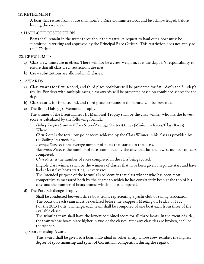#### 18. RETIREMENT

A boat that retires from a race shall notify a Race Committee Boat and be acknowledged, before leaving the race area.

#### 19. HAUL-OUT RESTRICTION

Boats shall remain in the water throughout the regatta. A request to haul-out a boat must be submitted in writing and approved by the Principal Race Officer. This restriction does not apply to the J-70 fleet.

#### 20. CREW LIMITS

- a) Class crew limits are in effect. There will not be a crew weigh-in. It is the skipper's responsibility to ensure that all class crew restrictions are met.
- b) Crew substitutions are allowed in all classes.

#### 21. AWARDS

- a) Class awards for first, second, and third place positions will be presented for Saturday's and Sunday's results. For days with multiple races, class awards will be presented based on combined scores for the day.
- b) Class awards for first, second, and third place positions in the regatta will be presented.
- c) The Brent Halsey Jr. Memorial Trophy

The winner of the Brent Halsey, Jr. Memorial Trophy shall be the class winner who has the lowest score as calculated by the following formula:

*Halsey Trophy Score* = (Class Score/Average Starters) times (Minimum Races/Class Races) Where:

*Class Score* is the total low point score achieved by the Class Winner in his class as provided by the Sailing Instructions.

*Average Starters* is the average number of boats that started in that class.

*Minimum Races* is the number of races completed by the class that has the fewest number of races completed.

*Class Races* is the number of races completed in the class being scored.

Eligible class winners shall be the winners of classes that have been given a separate start and have had at least five boats starting in every race.

The intended purpose of the formula is to identify that class winner who has been most competitive as measured both by the degree to which he has consistently been at the top of his class and the number of boats against which he has competed.

d) The Potts Challenge Trophy

Shall be conducted between three-boat teams representing a yacht club or sailing association. The boats on each team must be declared before the Skipper's Meeting on Friday at 1800. For the 2013 Potts Challenge, each team shall be composed of one boat each from three of the available classes.

The winning team shall have the lowest combined score for all three boats. In the event of a tie, the team whose boats place higher in two of the classes, after any class ties are broken, shall be the winner.

e) Sportsmanship Award

This award shall be given to a boat, individual or other entity whose crew exhibits the highest degree of sportsmanship and spirit of Corinthian competition during the regatta.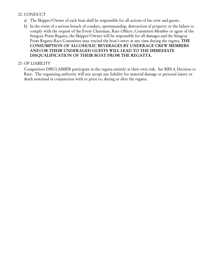#### 22. CONDUCT

- a) The Skipper/Owner of each boat shall be responsible for all actions of his crew and guests.
- b) In the event of a serious breach of conduct, sportsmanship, destruction of property or the failure to comply with the request of the Event Chairman, Race Officer, Committee Member or agent of the Stingray Point Regatta, the Skipper/Owner will be responsible for all damages and the Stingray Point Regatta Race Committee may rescind the boat's entry at any time during the regatta. THE CONSUMPTION OF ALCOHOLIC BEVERAGES BY UNDERAGE CREW MEMBERS AND/OR THEIR UNDERAGED GUESTS WILL LEAD TO THE IMMEDIATE DISQUALIFICATION OF THEIR BOAT FROM THE REGATTA.

#### 23. OF LIABILITY

Competitors DISCLAIMER participate in the regatta entirely at their own risk. See RRS 4, Decision to Race. The organizing authority will not accept any liability for material damage or personal injury or death sustained in conjunction with or prior to, during or after the regatta.